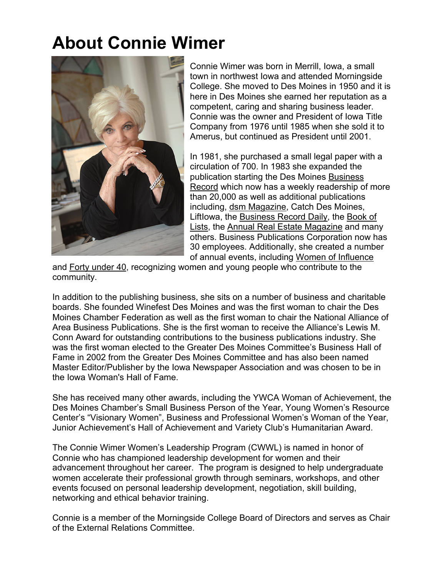## **About Connie Wimer**



Connie Wimer was born in Merrill, Iowa, a small town in northwest Iowa and attended Morningside College. She moved to Des Moines in 1950 and it is here in Des Moines she earned her reputation as a competent, caring and sharing business leader. Connie was the owner and President of Iowa Title Company from 1976 until 1985 when she sold it to Amerus, but continued as President until 2001.

In 1981, she purchased a small legal paper with a circulation of 700. In 1983 she expanded the publication starting the Des Moines Business Record which now has a weekly readership of more than 20,000 as well as additional publications including, dsm Magazine, Catch Des Moines, LiftIowa, the Business Record Daily, the Book of Lists, the Annual Real Estate Magazine and many others. Business Publications Corporation now has 30 employees. Additionally, she created a number of annual events, including Women of Influence

and Forty under 40, recognizing women and young people who contribute to the community.

In addition to the publishing business, she sits on a number of business and charitable boards. She founded Winefest Des Moines and was the first woman to chair the Des Moines Chamber Federation as well as the first woman to chair the National Alliance of Area Business Publications. She is the first woman to receive the Alliance's Lewis M. Conn Award for outstanding contributions to the business publications industry. She was the first woman elected to the Greater Des Moines Committee's Business Hall of Fame in 2002 from the Greater Des Moines Committee and has also been named Master Editor/Publisher by the Iowa Newspaper Association and was chosen to be in the Iowa Woman's Hall of Fame.

She has received many other awards, including the YWCA Woman of Achievement, the Des Moines Chamber's Small Business Person of the Year, Young Women's Resource Center's "Visionary Women", Business and Professional Women's Woman of the Year, Junior Achievement's Hall of Achievement and Variety Club's Humanitarian Award.

The Connie Wimer Women's Leadership Program (CWWL) is named in honor of Connie who has championed leadership development for women and their advancement throughout her career. The program is designed to help undergraduate women accelerate their professional growth through seminars, workshops, and other events focused on personal leadership development, negotiation, skill building, networking and ethical behavior training.

Connie is a member of the Morningside College Board of Directors and serves as Chair of the External Relations Committee.